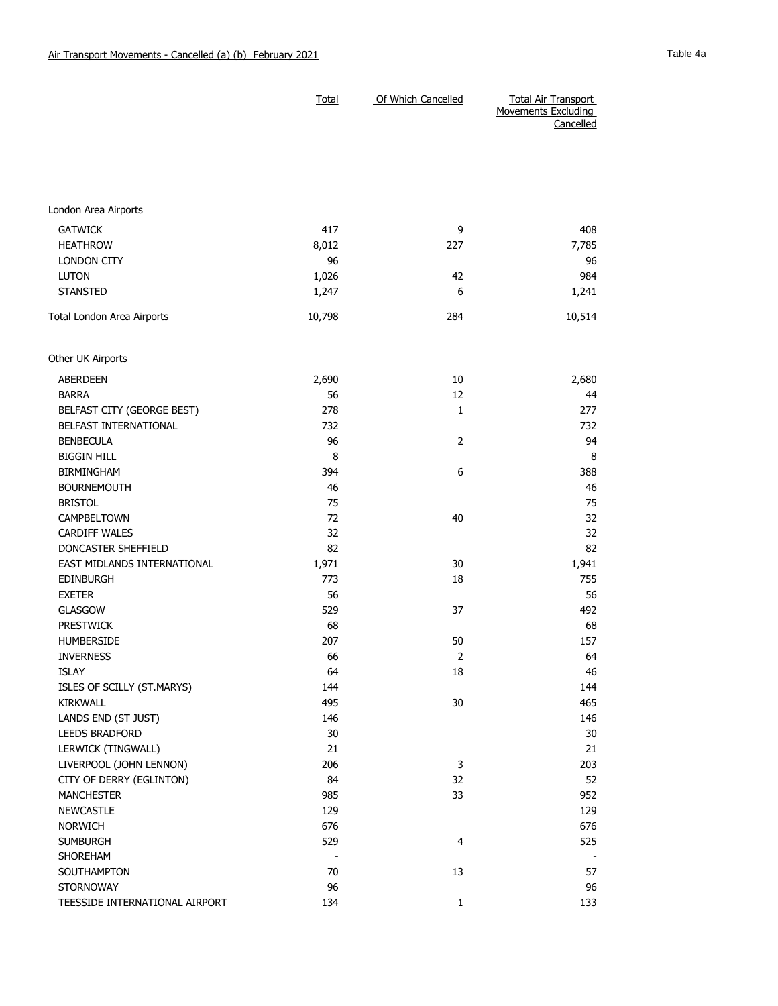|                             | Total  | Of Which Cancelled | <b>Total Air Transport</b><br>Movements Excluding<br>Cancelled |
|-----------------------------|--------|--------------------|----------------------------------------------------------------|
|                             |        |                    |                                                                |
| London Area Airports        |        |                    |                                                                |
| <b>GATWICK</b>              | 417    | 9                  | 408                                                            |
| <b>HEATHROW</b>             | 8,012  | 227                | 7,785                                                          |
| <b>LONDON CITY</b>          | 96     |                    | 96                                                             |
| <b>LUTON</b>                | 1,026  | 42                 | 984                                                            |
| <b>STANSTED</b>             | 1,247  | 6                  | 1,241                                                          |
| Total London Area Airports  | 10,798 | 284                | 10,514                                                         |
| Other UK Airports           |        |                    |                                                                |
| ABERDEEN                    | 2,690  | 10                 | 2,680                                                          |
| <b>BARRA</b>                | 56     | 12                 | 44                                                             |
| BELFAST CITY (GEORGE BEST)  | 278    | $\mathbf{1}$       | 277                                                            |
| BELFAST INTERNATIONAL       | 732    |                    | 732                                                            |
| <b>BENBECULA</b>            | 96     | $\overline{2}$     | 94                                                             |
| <b>BIGGIN HILL</b>          | 8      |                    | 8                                                              |
| <b>BIRMINGHAM</b>           | 394    | 6                  | 388                                                            |
| <b>BOURNEMOUTH</b>          | 46     |                    | 46                                                             |
| <b>BRISTOL</b>              | 75     |                    | 75                                                             |
| CAMPBELTOWN                 | 72     | 40                 | 32                                                             |
| <b>CARDIFF WALES</b>        | 32     |                    | 32                                                             |
| DONCASTER SHEFFIELD         | 82     |                    | 82                                                             |
| EAST MIDLANDS INTERNATIONAL | 1,971  | 30                 | 1,941                                                          |
| <b>EDINBURGH</b>            | 773    | 18                 | 755                                                            |
| <b>EXETER</b>               | 56     |                    | 56                                                             |
| <b>GLASGOW</b>              | 529    | 37                 | 492                                                            |
| <b>PRESTWICK</b>            | 68     |                    | 68                                                             |
| <b>HUMBERSIDE</b>           | 207    | 50                 | 157                                                            |
| <b>INVERNESS</b>            | 66     | 2                  | 64                                                             |
| <b>ISLAY</b>                | 64     | 18                 | 46                                                             |
| ISLES OF SCILLY (ST.MARYS)  | 144    |                    | 144                                                            |
| KIRKWALL                    | 495    | $30\,$             | 465                                                            |
| LANDS END (ST JUST)         | 146    |                    | 146                                                            |
| LEEDS BRADFORD              | 30     |                    | $30\,$                                                         |
| LERWICK (TINGWALL)          | 21     |                    | 21                                                             |
| LIVERPOOL (JOHN LENNON)     | 206    | 3                  | 203                                                            |
| CITY OF DERRY (EGLINTON)    | 84     | 32                 | 52                                                             |
| <b>MANCHESTER</b>           | 985    | 33                 | 952                                                            |
| <b>NEWCASTLE</b>            | 129    |                    | 129                                                            |
| <b>NORWICH</b>              | 676    |                    | 676                                                            |
| <b>SUMBURGH</b>             | 529    | 4                  | 525                                                            |
| SHOREHAM                    |        |                    |                                                                |

SOUTHAMPTON 570 57 57 STORNOWAY 96 96 TEESSIDE INTERNATIONAL AIRPORT 134 133 1 133 1 133